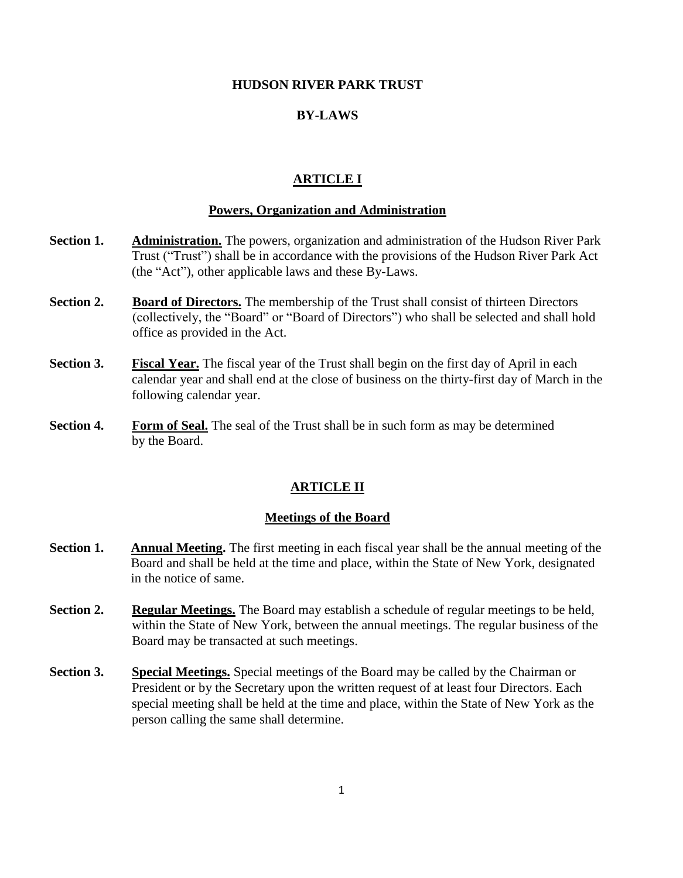#### **HUDSON RIVER PARK TRUST**

## **BY-LAWS**

## **ARTICLE I**

# **Powers, Organization and Administration**

- **Section 1.** Administration. The powers, organization and administration of the Hudson River Park Trust ("Trust") shall be in accordance with the provisions of the Hudson River Park Act (the "Act"), other applicable laws and these By-Laws.
- **Section 2. Board of Directors.** The membership of the Trust shall consist of thirteen Directors (collectively, the "Board" or "Board of Directors") who shall be selected and shall hold office as provided in the Act.
- **Section 3. Fiscal Year.** The fiscal year of the Trust shall begin on the first day of April in each calendar year and shall end at the close of business on the thirty-first day of March in the following calendar year.
- **Section 4.** Form of Seal. The seal of the Trust shall be in such form as may be determined by the Board.

#### **ARTICLE II**

#### **Meetings of the Board**

- **Section 1. Annual Meeting.** The first meeting in each fiscal year shall be the annual meeting of the Board and shall be held at the time and place, within the State of New York, designated in the notice of same.
- **Section 2.** Regular Meetings. The Board may establish a schedule of regular meetings to be held, within the State of New York, between the annual meetings. The regular business of the Board may be transacted at such meetings.
- **Section 3.** Special Meetings. Special meetings of the Board may be called by the Chairman or President or by the Secretary upon the written request of at least four Directors. Each special meeting shall be held at the time and place, within the State of New York as the person calling the same shall determine.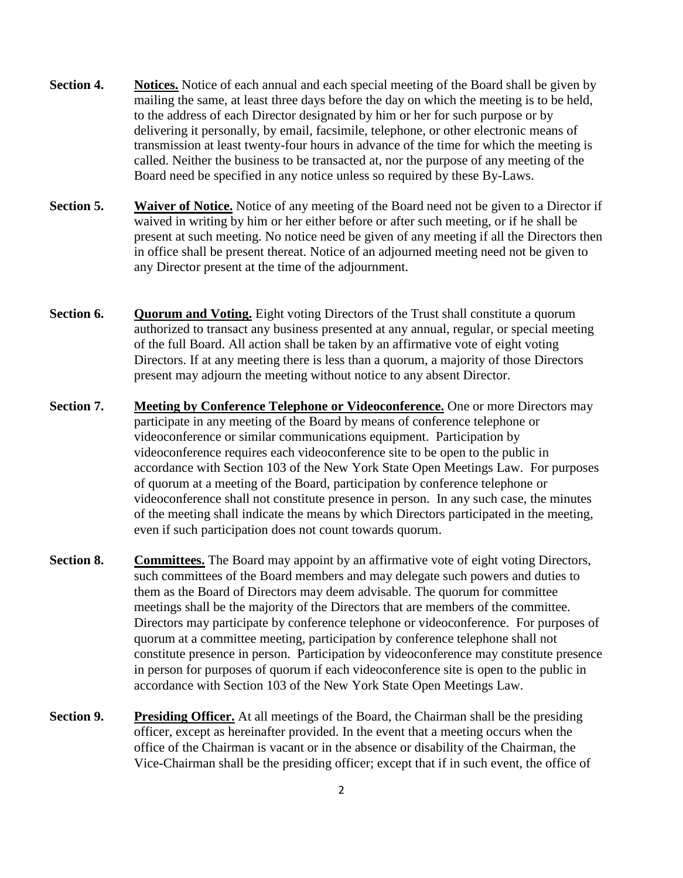- **Section 4. Notices.** Notice of each annual and each special meeting of the Board shall be given by mailing the same, at least three days before the day on which the meeting is to be held, to the address of each Director designated by him or her for such purpose or by delivering it personally, by email, facsimile, telephone, or other electronic means of transmission at least twenty-four hours in advance of the time for which the meeting is called. Neither the business to be transacted at, nor the purpose of any meeting of the Board need be specified in any notice unless so required by these By-Laws.
- **Section 5. Waiver of Notice.** Notice of any meeting of the Board need not be given to a Director if waived in writing by him or her either before or after such meeting, or if he shall be present at such meeting. No notice need be given of any meeting if all the Directors then in office shall be present thereat. Notice of an adjourned meeting need not be given to any Director present at the time of the adjournment.
- **Section 6. Quorum and Voting.** Eight voting Directors of the Trust shall constitute a quorum authorized to transact any business presented at any annual, regular, or special meeting of the full Board. All action shall be taken by an affirmative vote of eight voting Directors. If at any meeting there is less than a quorum, a majority of those Directors present may adjourn the meeting without notice to any absent Director.
- **Section 7. Meeting by Conference Telephone or Videoconference.** One or more Directors may participate in any meeting of the Board by means of conference telephone or videoconference or similar communications equipment. Participation by videoconference requires each videoconference site to be open to the public in accordance with Section 103 of the New York State Open Meetings Law. For purposes of quorum at a meeting of the Board, participation by conference telephone or videoconference shall not constitute presence in person. In any such case, the minutes of the meeting shall indicate the means by which Directors participated in the meeting, even if such participation does not count towards quorum.
- **Section 8.** Committees. The Board may appoint by an affirmative vote of eight voting Directors, such committees of the Board members and may delegate such powers and duties to them as the Board of Directors may deem advisable. The quorum for committee meetings shall be the majority of the Directors that are members of the committee. Directors may participate by conference telephone or videoconference. For purposes of quorum at a committee meeting, participation by conference telephone shall not constitute presence in person. Participation by videoconference may constitute presence in person for purposes of quorum if each videoconference site is open to the public in accordance with Section 103 of the New York State Open Meetings Law.
- **Section 9. Presiding Officer.** At all meetings of the Board, the Chairman shall be the presiding officer, except as hereinafter provided. In the event that a meeting occurs when the office of the Chairman is vacant or in the absence or disability of the Chairman, the Vice-Chairman shall be the presiding officer; except that if in such event, the office of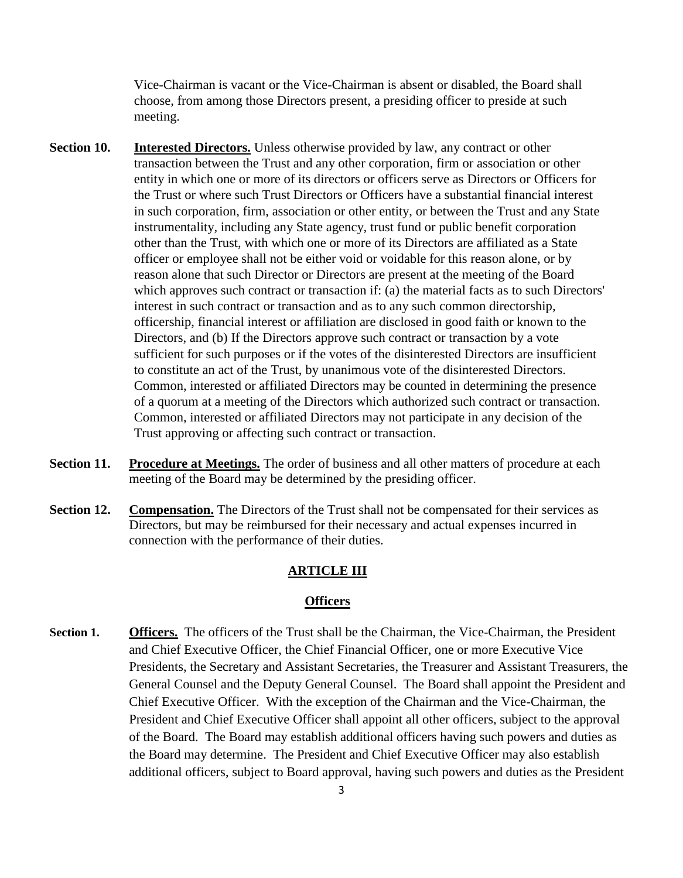Vice-Chairman is vacant or the Vice-Chairman is absent or disabled, the Board shall choose, from among those Directors present, a presiding officer to preside at such meeting.

- **Section 10. Interested Directors.** Unless otherwise provided by law, any contract or other transaction between the Trust and any other corporation, firm or association or other entity in which one or more of its directors or officers serve as Directors or Officers for the Trust or where such Trust Directors or Officers have a substantial financial interest in such corporation, firm, association or other entity, or between the Trust and any State instrumentality, including any State agency, trust fund or public benefit corporation other than the Trust, with which one or more of its Directors are affiliated as a State officer or employee shall not be either void or voidable for this reason alone, or by reason alone that such Director or Directors are present at the meeting of the Board which approves such contract or transaction if: (a) the material facts as to such Directors' interest in such contract or transaction and as to any such common directorship, officership, financial interest or affiliation are disclosed in good faith or known to the Directors, and (b) If the Directors approve such contract or transaction by a vote sufficient for such purposes or if the votes of the disinterested Directors are insufficient to constitute an act of the Trust, by unanimous vote of the disinterested Directors. Common, interested or affiliated Directors may be counted in determining the presence of a quorum at a meeting of the Directors which authorized such contract or transaction. Common, interested or affiliated Directors may not participate in any decision of the Trust approving or affecting such contract or transaction.
- **Section 11. Procedure at Meetings.** The order of business and all other matters of procedure at each meeting of the Board may be determined by the presiding officer.
- **Section 12. Compensation.** The Directors of the Trust shall not be compensated for their services as Directors, but may be reimbursed for their necessary and actual expenses incurred in connection with the performance of their duties.

#### **ARTICLE III**

## **Officers**

**Section 1. Officers.** The officers of the Trust shall be the Chairman, the Vice-Chairman, the President and Chief Executive Officer, the Chief Financial Officer, one or more Executive Vice Presidents, the Secretary and Assistant Secretaries, the Treasurer and Assistant Treasurers, the General Counsel and the Deputy General Counsel. The Board shall appoint the President and Chief Executive Officer. With the exception of the Chairman and the Vice-Chairman, the President and Chief Executive Officer shall appoint all other officers, subject to the approval of the Board. The Board may establish additional officers having such powers and duties as the Board may determine. The President and Chief Executive Officer may also establish additional officers, subject to Board approval, having such powers and duties as the President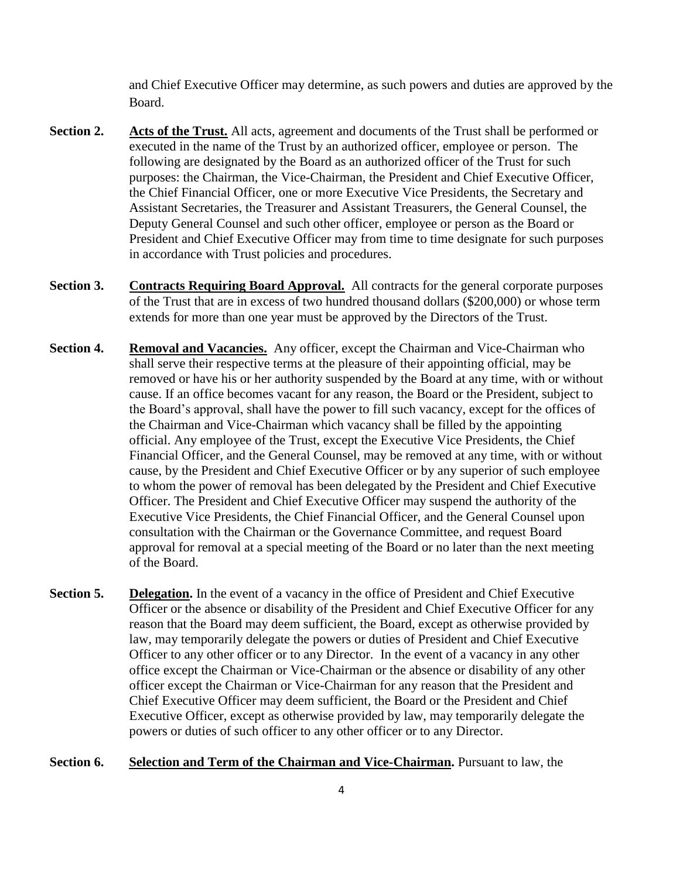and Chief Executive Officer may determine, as such powers and duties are approved by the Board.

- **Section 2. Acts of the Trust.** All acts, agreement and documents of the Trust shall be performed or executed in the name of the Trust by an authorized officer, employee or person. The following are designated by the Board as an authorized officer of the Trust for such purposes: the Chairman, the Vice-Chairman, the President and Chief Executive Officer, the Chief Financial Officer, one or more Executive Vice Presidents, the Secretary and Assistant Secretaries, the Treasurer and Assistant Treasurers, the General Counsel, the Deputy General Counsel and such other officer, employee or person as the Board or President and Chief Executive Officer may from time to time designate for such purposes in accordance with Trust policies and procedures.
- **Section 3. Contracts Requiring Board Approval.** All contracts for the general corporate purposes of the Trust that are in excess of two hundred thousand dollars (\$200,000) or whose term extends for more than one year must be approved by the Directors of the Trust.
- **Section 4. Removal and Vacancies.** Any officer, except the Chairman and Vice-Chairman who shall serve their respective terms at the pleasure of their appointing official, may be removed or have his or her authority suspended by the Board at any time, with or without cause. If an office becomes vacant for any reason, the Board or the President, subject to the Board's approval, shall have the power to fill such vacancy, except for the offices of the Chairman and Vice-Chairman which vacancy shall be filled by the appointing official. Any employee of the Trust, except the Executive Vice Presidents, the Chief Financial Officer, and the General Counsel, may be removed at any time, with or without cause, by the President and Chief Executive Officer or by any superior of such employee to whom the power of removal has been delegated by the President and Chief Executive Officer. The President and Chief Executive Officer may suspend the authority of the Executive Vice Presidents, the Chief Financial Officer, and the General Counsel upon consultation with the Chairman or the Governance Committee, and request Board approval for removal at a special meeting of the Board or no later than the next meeting of the Board.
- **Section 5. Delegation.** In the event of a vacancy in the office of President and Chief Executive Officer or the absence or disability of the President and Chief Executive Officer for any reason that the Board may deem sufficient, the Board, except as otherwise provided by law, may temporarily delegate the powers or duties of President and Chief Executive Officer to any other officer or to any Director. In the event of a vacancy in any other office except the Chairman or Vice-Chairman or the absence or disability of any other officer except the Chairman or Vice-Chairman for any reason that the President and Chief Executive Officer may deem sufficient, the Board or the President and Chief Executive Officer, except as otherwise provided by law, may temporarily delegate the powers or duties of such officer to any other officer or to any Director.
- **Section 6. Selection and Term of the Chairman and Vice-Chairman.** Pursuant to law, the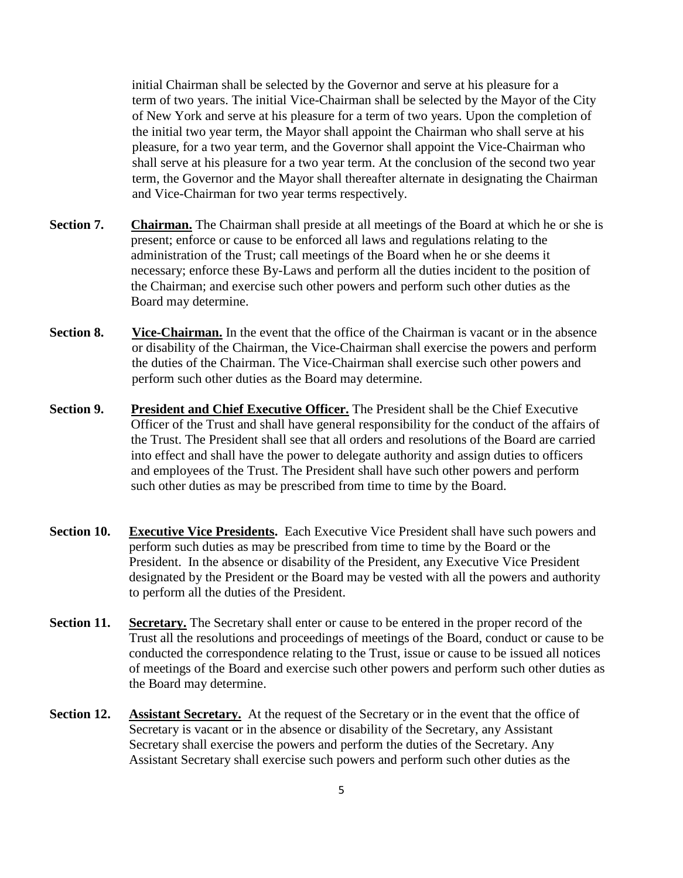initial Chairman shall be selected by the Governor and serve at his pleasure for a term of two years. The initial Vice-Chairman shall be selected by the Mayor of the City of New York and serve at his pleasure for a term of two years. Upon the completion of the initial two year term, the Mayor shall appoint the Chairman who shall serve at his pleasure, for a two year term, and the Governor shall appoint the Vice-Chairman who shall serve at his pleasure for a two year term. At the conclusion of the second two year term, the Governor and the Mayor shall thereafter alternate in designating the Chairman and Vice-Chairman for two year terms respectively.

- **Section 7. Chairman.** The Chairman shall preside at all meetings of the Board at which he or she is present; enforce or cause to be enforced all laws and regulations relating to the administration of the Trust; call meetings of the Board when he or she deems it necessary; enforce these By-Laws and perform all the duties incident to the position of the Chairman; and exercise such other powers and perform such other duties as the Board may determine.
- **Section 8.** Vice-Chairman. In the event that the office of the Chairman is vacant or in the absence or disability of the Chairman, the Vice-Chairman shall exercise the powers and perform the duties of the Chairman. The Vice-Chairman shall exercise such other powers and perform such other duties as the Board may determine.
- **Section 9. President and Chief Executive Officer.** The President shall be the Chief Executive Officer of the Trust and shall have general responsibility for the conduct of the affairs of the Trust. The President shall see that all orders and resolutions of the Board are carried into effect and shall have the power to delegate authority and assign duties to officers and employees of the Trust. The President shall have such other powers and perform such other duties as may be prescribed from time to time by the Board.
- **Section 10. Executive Vice Presidents.** Each Executive Vice President shall have such powers and perform such duties as may be prescribed from time to time by the Board or the President. In the absence or disability of the President, any Executive Vice President designated by the President or the Board may be vested with all the powers and authority to perform all the duties of the President.
- **Section 11. Secretary.** The Secretary shall enter or cause to be entered in the proper record of the Trust all the resolutions and proceedings of meetings of the Board, conduct or cause to be conducted the correspondence relating to the Trust, issue or cause to be issued all notices of meetings of the Board and exercise such other powers and perform such other duties as the Board may determine.
- **Section 12. Assistant Secretary.** At the request of the Secretary or in the event that the office of Secretary is vacant or in the absence or disability of the Secretary, any Assistant Secretary shall exercise the powers and perform the duties of the Secretary. Any Assistant Secretary shall exercise such powers and perform such other duties as the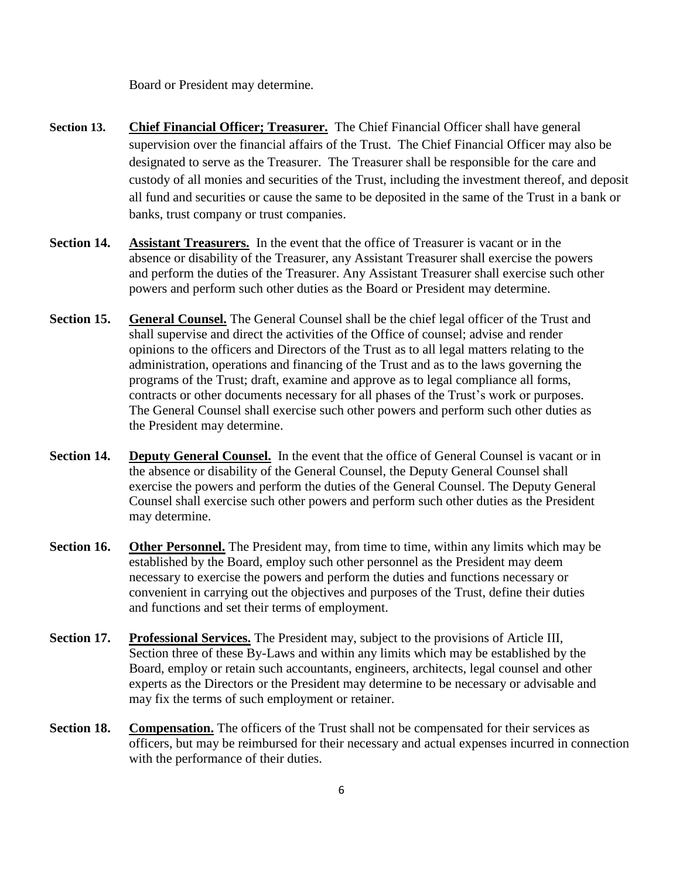Board or President may determine.

- **Section 13. Chief Financial Officer; Treasurer.** The Chief Financial Officer shall have general supervision over the financial affairs of the Trust. The Chief Financial Officer may also be designated to serve as the Treasurer. The Treasurer shall be responsible for the care and custody of all monies and securities of the Trust, including the investment thereof, and deposit all fund and securities or cause the same to be deposited in the same of the Trust in a bank or banks, trust company or trust companies.
- **Section 14. Assistant Treasurers.** In the event that the office of Treasurer is vacant or in the absence or disability of the Treasurer, any Assistant Treasurer shall exercise the powers and perform the duties of the Treasurer. Any Assistant Treasurer shall exercise such other powers and perform such other duties as the Board or President may determine.
- **Section 15. General Counsel.** The General Counsel shall be the chief legal officer of the Trust and shall supervise and direct the activities of the Office of counsel; advise and render opinions to the officers and Directors of the Trust as to all legal matters relating to the administration, operations and financing of the Trust and as to the laws governing the programs of the Trust; draft, examine and approve as to legal compliance all forms, contracts or other documents necessary for all phases of the Trust's work or purposes. The General Counsel shall exercise such other powers and perform such other duties as the President may determine.
- **Section 14. Deputy General Counsel.** In the event that the office of General Counsel is vacant or in the absence or disability of the General Counsel, the Deputy General Counsel shall exercise the powers and perform the duties of the General Counsel. The Deputy General Counsel shall exercise such other powers and perform such other duties as the President may determine.
- **Section 16. Other Personnel.** The President may, from time to time, within any limits which may be established by the Board, employ such other personnel as the President may deem necessary to exercise the powers and perform the duties and functions necessary or convenient in carrying out the objectives and purposes of the Trust, define their duties and functions and set their terms of employment.
- **Section 17. Professional Services.** The President may, subject to the provisions of Article III, Section three of these By-Laws and within any limits which may be established by the Board, employ or retain such accountants, engineers, architects, legal counsel and other experts as the Directors or the President may determine to be necessary or advisable and may fix the terms of such employment or retainer.
- **Section 18. Compensation.** The officers of the Trust shall not be compensated for their services as officers, but may be reimbursed for their necessary and actual expenses incurred in connection with the performance of their duties.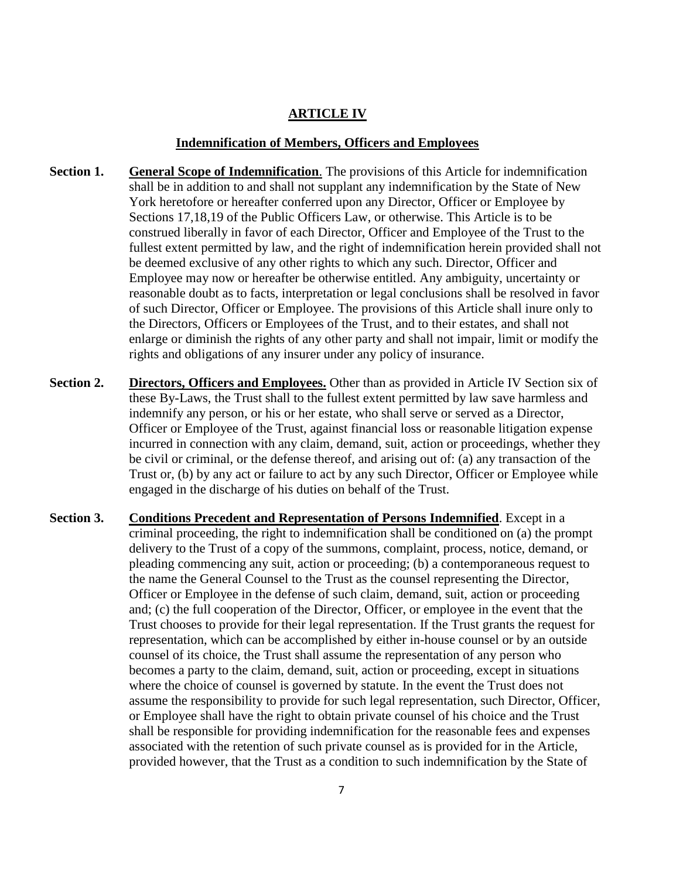# **ARTICLE IV**

#### **Indemnification of Members, Officers and Employees**

- **Section 1. General Scope of Indemnification**. The provisions of this Article for indemnification shall be in addition to and shall not supplant any indemnification by the State of New York heretofore or hereafter conferred upon any Director, Officer or Employee by Sections 17,18,19 of the Public Officers Law, or otherwise. This Article is to be construed liberally in favor of each Director, Officer and Employee of the Trust to the fullest extent permitted by law, and the right of indemnification herein provided shall not be deemed exclusive of any other rights to which any such. Director, Officer and Employee may now or hereafter be otherwise entitled. Any ambiguity, uncertainty or reasonable doubt as to facts, interpretation or legal conclusions shall be resolved in favor of such Director, Officer or Employee. The provisions of this Article shall inure only to the Directors, Officers or Employees of the Trust, and to their estates, and shall not enlarge or diminish the rights of any other party and shall not impair, limit or modify the rights and obligations of any insurer under any policy of insurance.
- **Section 2. Directors, Officers and Employees.** Other than as provided in Article IV Section six of these By-Laws, the Trust shall to the fullest extent permitted by law save harmless and indemnify any person, or his or her estate, who shall serve or served as a Director, Officer or Employee of the Trust, against financial loss or reasonable litigation expense incurred in connection with any claim, demand, suit, action or proceedings, whether they be civil or criminal, or the defense thereof, and arising out of: (a) any transaction of the Trust or, (b) by any act or failure to act by any such Director, Officer or Employee while engaged in the discharge of his duties on behalf of the Trust.
- **Section 3. Conditions Precedent and Representation of Persons Indemnified**. Except in a criminal proceeding, the right to indemnification shall be conditioned on (a) the prompt delivery to the Trust of a copy of the summons, complaint, process, notice, demand, or pleading commencing any suit, action or proceeding; (b) a contemporaneous request to the name the General Counsel to the Trust as the counsel representing the Director, Officer or Employee in the defense of such claim, demand, suit, action or proceeding and; (c) the full cooperation of the Director, Officer, or employee in the event that the Trust chooses to provide for their legal representation. If the Trust grants the request for representation, which can be accomplished by either in-house counsel or by an outside counsel of its choice, the Trust shall assume the representation of any person who becomes a party to the claim, demand, suit, action or proceeding, except in situations where the choice of counsel is governed by statute. In the event the Trust does not assume the responsibility to provide for such legal representation, such Director, Officer, or Employee shall have the right to obtain private counsel of his choice and the Trust shall be responsible for providing indemnification for the reasonable fees and expenses associated with the retention of such private counsel as is provided for in the Article, provided however, that the Trust as a condition to such indemnification by the State of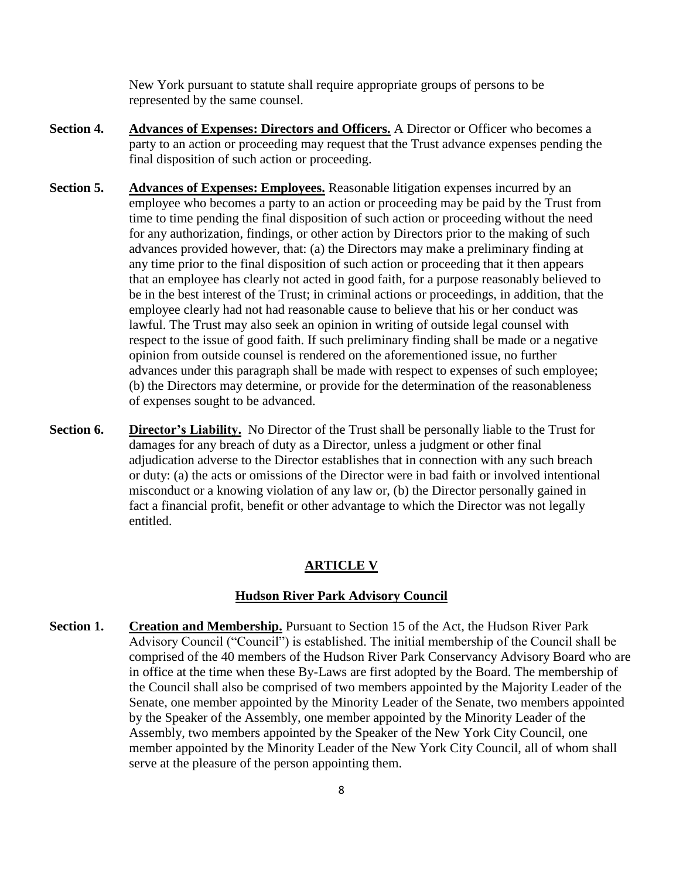New York pursuant to statute shall require appropriate groups of persons to be represented by the same counsel.

- **Section 4. Advances of Expenses: Directors and Officers.** A Director or Officer who becomes a party to an action or proceeding may request that the Trust advance expenses pending the final disposition of such action or proceeding.
- **Section 5. Advances of Expenses: Employees.** Reasonable litigation expenses incurred by an employee who becomes a party to an action or proceeding may be paid by the Trust from time to time pending the final disposition of such action or proceeding without the need for any authorization, findings, or other action by Directors prior to the making of such advances provided however, that: (a) the Directors may make a preliminary finding at any time prior to the final disposition of such action or proceeding that it then appears that an employee has clearly not acted in good faith, for a purpose reasonably believed to be in the best interest of the Trust; in criminal actions or proceedings, in addition, that the employee clearly had not had reasonable cause to believe that his or her conduct was lawful. The Trust may also seek an opinion in writing of outside legal counsel with respect to the issue of good faith. If such preliminary finding shall be made or a negative opinion from outside counsel is rendered on the aforementioned issue, no further advances under this paragraph shall be made with respect to expenses of such employee; (b) the Directors may determine, or provide for the determination of the reasonableness of expenses sought to be advanced.
- **Section 6. Director's Liability.** No Director of the Trust shall be personally liable to the Trust for damages for any breach of duty as a Director, unless a judgment or other final adjudication adverse to the Director establishes that in connection with any such breach or duty: (a) the acts or omissions of the Director were in bad faith or involved intentional misconduct or a knowing violation of any law or, (b) the Director personally gained in fact a financial profit, benefit or other advantage to which the Director was not legally entitled.

#### **ARTICLE V**

# **Hudson River Park Advisory Council**

**Section 1. Creation and Membership.** Pursuant to Section 15 of the Act, the Hudson River Park Advisory Council ("Council") is established. The initial membership of the Council shall be comprised of the 40 members of the Hudson River Park Conservancy Advisory Board who are in office at the time when these By-Laws are first adopted by the Board. The membership of the Council shall also be comprised of two members appointed by the Majority Leader of the Senate, one member appointed by the Minority Leader of the Senate, two members appointed by the Speaker of the Assembly, one member appointed by the Minority Leader of the Assembly, two members appointed by the Speaker of the New York City Council, one member appointed by the Minority Leader of the New York City Council, all of whom shall serve at the pleasure of the person appointing them.